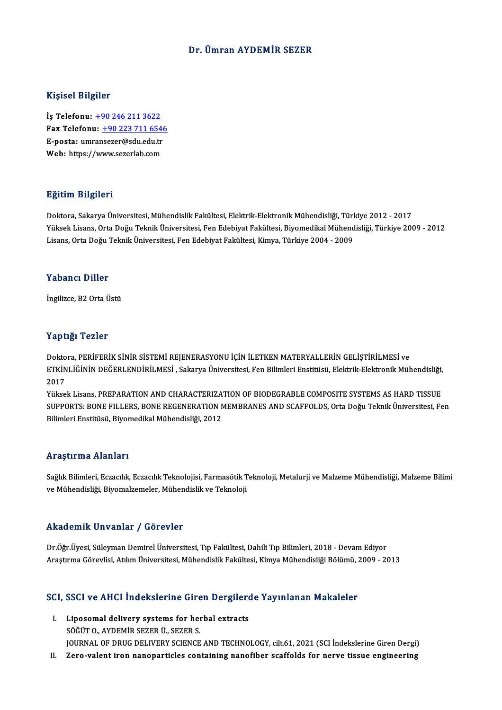### Dr. Ümran AYDEMİR SEZER

#### Kişisel Bilgiler

İş Telefonu: +90 246 211 3622 11.<br>15 Telefonu: <u>+90 246 211 3622</u><br>Fax Telefonu: <u>+90 223 711 6546</u><br>F nosta: umranssrer@sdu.edu.tr İş Telefonu: <u>+90 246 211 3622</u><br>Fax Telefonu: <u>+90 223 711 6540</u><br>E-posta: um[ran](tel:+90 246 211 3622)[sezer@sdu.edu.tr](tel:+90 223 711 6546)<br>Web: https://www.sezerlab.com Fax Telefonu: <u>+90 223 711 654</u><br>E-posta: umransezer@sdu.edu.tr<br>Web: https://www.sezerlab.com

#### Eğitim Bilgileri

**Eğitim Bilgileri**<br>Doktora, Sakarya Üniversitesi, Mühendislik Fakültesi, Elektrik-Elektronik Mühendisliği, Türkiye 2012 - 2017<br>Yüksek Lisans, Orta Değu Teknik Üniversitesi, Een Edebiyat Fakültesi, Biyemedikal Mühendisliği, Yüksek Lisans, Orta Doğu Teknik Üniversitesi, Fen Edebiyat Fakültesi, Biyomedikal Mühendisliği, Türkiye 2009 - 2012<br>Lisans, Orta Doğu Teknik Üniversitesi, Fen Edebiyat Fakültesi, Kimya, Türkiye 2004 - 2009 Doktora, Sakarya Üniversitesi, Mühendislik Fakültesi, Elektrik-Elektronik Mühendisliği, Türl<br>Yüksek Lisans, Orta Doğu Teknik Üniversitesi, Fen Edebiyat Fakültesi, Biyomedikal Mühend<br>Lisans, Orta Doğu Teknik Üniversitesi, F

#### Yabancı Diller

İngilizce, B2 Orta Üstü

### Yaptığı Tezler

Yaptığı Tezler<br>Doktora, PERİFERİK SİNİR SİSTEMİ REJENERASYONU İÇİN İLETKEN MATERYALLERİN GELİŞTİRİLMESİ ve<br>ETKİNI İĞİNİN DEĞERI ENDİRİLMESİ, Sakarya Üniyarsitesi Esp Bilimleri Enstitüsü, Elektrik Elektronik Müh Tüp etge Tolitor<br>Doktora, PERİFERİK SİNİR SİSTEMİ REJENERASYONU İÇİN İLETKEN MATERYALLERİN GELİŞTİRİLMESİ ve<br>ETKİNLİĞİNİN DEĞERLENDİRİLMESİ , Sakarya Üniversitesi, Fen Bilimleri Enstitüsü, Elektrik-Elektronik Mühendisliği, Dokto<br>ETKİN<br>2017<br><sup>Vülss</sup> ETKİNLİĞİNİN DEĞERLENDİRİLMESİ , Sakarya Üniversitesi, Fen Bilimleri Enstitüsü, Elektrik-Elektronik Mühendisliği,<br>2017<br>Yüksek Lisans, PREPARATION AND CHARACTERIZATION OF BIODEGRABLE COMPOSITE SYSTEMS AS HARD TISSUE<br>SURROPT

2017<br>Yüksek Lisans, PREPARATION AND CHARACTERIZATION OF BIODEGRABLE COMPOSITE SYSTEMS AS HARD TISSUE<br>SUPPORTS: BONE FILLERS, BONE REGENERATION MEMBRANES AND SCAFFOLDS, Orta Doğu Teknik Üniversitesi, Fen<br>Bilimlori Enstitüsü Yüksek Lisans, PREPARATION AND CHARACTERIZA<br>SUPPORTS: BONE FILLERS, BONE REGENERATION N<br>Bilimleri Enstitüsü, Biyomedikal Mühendisliği, 2012 Bilimleri Enstitüsü, Biyomedikal Mühendisliği, 2012<br>Araştırma Alanları

Araştırma Alanları<br>Sağlık Bilimleri, Eczacılık, Eczacılık Teknolojisi, Farmasötik Teknoloji, Metalurji ve Malzeme Mühendisliği, Malzeme Bilimi<br>ve Mühendisliği, Biyamalzamalar, Mühendislik ve Talmalaji rri uyen mu rriumur i<br>Sağlık Bilimleri, Eczacılık, Eczacılık Teknolojisi, Farmasötik T<br>ve Mühendisliği, Biyomalzemeler, Mühendislik ve Teknoloji ve Mühendisliği, Biyomalzemeler, Mühendislik ve Teknoloji<br>Akademik Unvanlar / Görevler

Akademik Unvanlar / Görevler<br>Dr.Öğr.Üyesi, Süleyman Demirel Üniversitesi, Tıp Fakültesi, Dahili Tıp Bilimleri, 2018 - Devam Ediyor<br>Arastırma Görevlisi, Atılım Üniversitesi, Mühandislik Fakültesi, Kimya Mühandisliği Bölümü, Arastıcım Sonumam yı dönevler<br>Dr.Öğr.Üyesi, Süleyman Demirel Üniversitesi, Tıp Fakültesi, Dahili Tıp Bilimleri, 2018 - Devam Ediyor<br>Araştırma Görevlisi, Atılım Üniversitesi, Mühendislik Fakültesi, Kimya Mühendisliği Bölümü

# Araşurma Göreviisi, Adilim Universitesi, Münendislik Fakultesi, Kimya Münendisliği Bolumu, ,<br>SCI, SSCI ve AHCI İndekslerine Giren Dergilerde Yayınlanan Makaleler

- CI, SSCI ve AHCI İndekslerine Giren Dergilero<br>I. Liposomal delivery systems for herbal extracts<br>SÖĞÜTO AYDEMİR SEZER Ü, SEZER S I. Liposomal delivery systems for herbal extracts<br>SÖĞÜTO., AYDEMİR SEZER Ü., SEZER S. Liposomal delivery systems for herbal extracts<br>SÖĞÜT O., AYDEMİR SEZER Ü., SEZER S.<br>JOURNAL OF DRUG DELIVERY SCIENCE AND TECHNOLOGY, cilt.61, 2021 (SCI İndekslerine Giren Dergi)<br>Zara valart iran nananartisləs santaining na SÖĞÜT 0., AYDEMİR SEZER Ü., SEZER S.<br>JOURNAL OF DRUG DELIVERY SCIENCE AND TECHNOLOGY, cilt.61, 2021 (SCI İndekslerine Giren Dergi)<br>II. Zero-valent iron nanoparticles containing nanofiber scaffolds for nerve tissue engi
-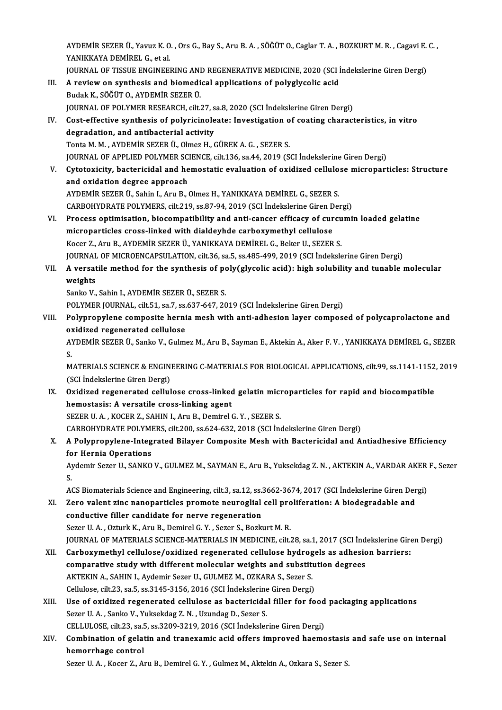AYDEMİR SEZER Ü., Yavuz K. O. , Ors G., Bay S., Aru B. A. , SÖĞÜT O., Caglar T. A. , BOZKURT M. R. , Cagavi E. C. ,<br>XANIKKAYA DEMİREL G. et al AYDEMİR SEZER Ü., Yavuz K. O<br>YANIKKAYA DEMİREL G., et al.<br>JOUPNAL OF TISSUE ENCINEEL AYDEMİR SEZER Ü., Yavuz K. O. , Ors G., Bay S., Aru B. A. , SÖĞÜT O., Caglar T. A. , BOZKURT M. R. , Cagavi E.<br>YANIKKAYA DEMİREL G., et al.<br>JOURNAL OF TISSUE ENGINEERING AND REGENERATIVE MEDICINE, 2020 (SCI İndekslerine Gi YANIKKAYA DEMİREL G., et al.<br>JOURNAL OF TISSUE ENGINEERING AND REGENERATIVE MEDICINE, 2020 (SCI<br>III. A review on synthesis and biomedical applications of polyglycolic acid<br>Budak K., SÖĞÜT O., AYDEMİR SEZER Ü. JOURNAL OF TISSUE ENGINEERING AND REGENERATIVE MEDICINE, 2020 (SCI Indekslerine Giren Dergi) JOURNAL OF POLYMER RESEARCH, cilt.27, sa.8, 2020 (SCI İndekslerine Giren Dergi) Budak K., SÖĞÜT O., AYDEMİR SEZER Ü.<br>JOURNAL OF POLYMER RESEARCH, cilt.27, sa.8, 2020 (SCI İndekslerine Giren Dergi)<br>IV. Cost-effective synthesis of polyricinoleate: Investigation of coating characteristics, in vitro<br>d JOURNAL OF POLYMER RESEARCH, cilt.27, s<br>Cost-effective synthesis of polyricinole<br>degradation, and antibacterial activity<br>Tente M.M. AVDEMIR SEZER (J. Olmez H. G Cost-effective synthesis of polyricinoleate: Investigation of degradation, and antibacterial activity<br>Tonta M. M. , AYDEMİR SEZER Ü., Olmez H., GÜREK A. G. , SEZER S.<br>JOUPMAL OF APPLIED POLYMER SCIENCE, silt 126, sa 44, 20 degradation, and antibacterial activity<br>Tonta M. M. , AYDEMİR SEZER Ü., Olmez H., GÜREK A. G. , SEZER S.<br>JOURNAL OF APPLIED POLYMER SCIENCE, cilt.136, sa.44, 2019 (SCI İndekslerine Giren Dergi) Tonta M. M. , AYDEMİR SEZER Ü., Olmez H., GÜREK A. G. , SEZER S.<br>JOURNAL OF APPLIED POLYMER SCIENCE, cilt.136, sa.44, 2019 (SCI İndekslerine Giren Dergi)<br>V. Cytotoxicity, bactericidal and hemostatic evaluation of oxidized JOURNAL OF APPLIED POLYMER SC.<br>Cytotoxicity, bactericidal and he<br>and oxidation degree approach<br>AVDEMIP SEZER IL Sobin LATUR Cytotoxicity, bactericidal and hemostatic evaluation of oxidized cellulo<br>and oxidation degree approach<br>AYDEMİR SEZER Ü., Sahin I., Aru B., Olmez H., YANIKKAYA DEMİREL G., SEZER S.<br>CARROUVDRATE ROLYMERS silt 210. SS 87.94.2 and oxidation degree approach<br>AYDEMİR SEZER Ü., Sahin I., Aru B., Olmez H., YANIKKAYA DEMİREL G., SEZER S.<br>CARBOHYDRATE POLYMERS, cilt.219, ss.87-94, 2019 (SCI İndekslerine Giren Dergi)<br>Process optimisation, biosomnatibili AYDEMİR SEZER Ü., Sahin I., Aru B., Olmez H., YANIKKAYA DEMİREL G., SEZER S.<br>CARBOHYDRATE POLYMERS, cilt.219, ss.87-94, 2019 (SCI İndekslerine Giren Dergi)<br>VI. Process optimisation, biocompatibility and anti-cancer efficac CARBOHYDRATE POLYMERS, cilt.219, ss.87-94, 2019 (SCI İndekslerine Giren D<br>Process optimisation, biocompatibility and anti-cancer efficacy of cur<br>microparticles cross-linked with dialdeyhde carboxymethyl cellulose<br>Kesen 7, Process optimisation, biocompatibility and anti-cancer efficacy of curcu<br>microparticles cross-linked with dialdeyhde carboxymethyl cellulose<br>Kocer Z., Aru B., AYDEMİR SEZER Ü., YANIKKAYA DEMİREL G., Beker U., SEZER S.<br>JOUP microparticles cross-linked with dialdeyhde carboxymethyl cellulose<br>Kocer Z., Aru B., AYDEMİR SEZER Ü., YANIKKAYA DEMİREL G., Beker U., SEZER S.<br>JOURNAL OF MICROENCAPSULATION, cilt.36, sa.5, ss.485-499, 2019 (SCI İndeksler Kocer Z., Aru B., AYDEMİR SEZER Ü., YANIKKAYA DEMİREL G., Beker U., SEZER S.<br>JOURNAL OF MICROENCAPSULATION, cilt.36, sa.5, ss.485-499, 2019 (SCI İndekslerine Giren Dergi)<br>VII. A versatile method for the synthesis of po JOURNAL<br>A versat<br>weights<br>Sanka V A versatile method for the synthesis of po<br>weights<br>Sanko V., Sahin I., AYDEMİR SEZER Ü., SEZER S.<br>POLYMER JOURNAL S<sup>il: 51, SS</sub> 7, SS 637, 647, 30</sup> weights<br>Sanko V., Sahin I., AYDEMİR SEZER Ü., SEZER S.<br>POLYMER JOURNAL, cilt.51, sa.7, ss.637-647, 2019 (SCI İndekslerine Giren Dergi) Sanko V., Sahin I., AYDEMİR SEZER Ü., SEZER S.<br>POLYMER JOURNAL, cilt.51, sa.7, ss.637-647, 2019 (SCI İndekslerine Giren Dergi)<br>VIII. Polypropylene composite hernia mesh with anti-adhesion layer composed of polycaprolactone POLYMER JOURNAL, cilt.51, sa.7, ss.<br>Polypropylene composite herni<br>oxidized regenerated cellulose<br>AVDEMIP SEZER Ü. Sanka V. Gulm Polypropylene composite hernia mesh with anti-adhesion layer composed of polycaprolactone and<br>oxidized regenerated cellulose<br>AYDEMİR SEZER Ü., Sanko V., Gulmez M., Aru B., Sayman E., Aktekin A., Aker F. V. , YANIKKAYA DEMİ 02<br>A'<br>M AYDEMİR SEZER Ü., Sanko V., Gulmez M., Aru B., Sayman E., Aktekin A., Aker F. V. , YANIKKAYA DEMİREL G., SEZER<br>S.<br>MATERIALS SCIENCE & ENGINEERING C-MATERIALS FOR BIOLOGICAL APPLICATIONS, cilt.99, ss.1141-1152, 2019<br>(SCI İn S.<br>MATERIALS SCIENCE & ENGIN<br>(SCI İndekslerine Giren Dergi)<br>Quidired regenerated cellul MATERIALS SCIENCE & ENGINEERING C-MATERIALS FOR BIOLOGICAL APPLICATIONS, cilt.99, ss.1141-1152<br>(SCI Indekslerine Giren Dergi)<br>IX. Oxidized regenerated cellulose cross-linked gelatin microparticles for rapid and biocompatib (SCI İndekslerine Giren Dergi)<br>Oxidized regenerated cellulose cross-linked<br>hemostasis: A versatile cross-linking agent<br>SEZER U.A., KOCER Z. SAHIN L.A.,, B. Domiral Oxidized regenerated cellulose cross-linked gelatin mich<br>hemostasis: A versatile cross-linking agent<br>SEZER U. A., KOCER Z., SAHIN I., Aru B., Demirel G.Y., SEZER S.<br>CARROUVPRATE POLYMERS, sitt 200, 88.624.622.2019 (SCL In hemostasis: A versatile cross-linking agent<br>SEZER U. A. , KOCER Z., SAHIN I., Aru B., Demirel G. Y. , SEZER S.<br>CARBOHYDRATE POLYMERS, cilt.200, ss.624-632, 2018 (SCI İndekslerine Giren Dergi)<br>A Bolynnonylane Integrated Bil SEZER U. A. , KOCER Z., SAHIN I., Aru B., Demirel G. Y. , SEZER S.<br>CARBOHYDRATE POLYMERS, cilt.200, ss.624-632, 2018 (SCI Indekslerine Giren Dergi)<br>X. A Polypropylene-Integrated Bilayer Composite Mesh with Bactericidal and CARBOHYDRATE POLYMI<br>A Polypropylene-Integ<br>for Hernia Operations<br>Aydemin Seren II, SANKO A Polypropylene-Integrated Bilayer Composite Mesh with Bactericidal and Antiadhesive Efficiency<br>for Hernia Operations<br>Aydemir Sezer U., SANKO V., GULMEZ M., SAYMAN E., Aru B., Yuksekdag Z. N. , AKTEKIN A., VARDAR AKER F., fo<br>Ay<br>A Aydemir Sezer U., SANKO V., GULMEZ M., SAYMAN E., Aru B., Yuksekdag Z. N. , AKTEKIN A., VARDAR AKER<br>S.<br>ACS Biomaterials Science and Engineering, cilt.3, sa.12, ss.3662-3674, 2017 (SCI İndekslerine Giren Dergi)<br>Zara valant S.<br>ACS Biomaterials Science and Engineering, cilt.3, sa.12, ss.3662-3674, 2017 (SCI İndekslerine Giren Der<br>XI. Zero valent zinc nanoparticles promote neuroglial cell proliferation: A biodegradable and<br>conductive filler ACS Biomaterials Science and Engineering, cilt.3, sa.12, ss.<br>Zero valent zinc nanoparticles promote neuroglial<br>conductive filler candidate for nerve regeneration<br>Seror U.A., Orturk K. Aru B. Demirel C. Y., Seror S. Berla Zero valent zinc nanoparticles promote neuroglial cell pro<br>conductive filler candidate for nerve regeneration<br>Sezer U. A. , Ozturk K., Aru B., Demirel G. Y. , Sezer S., Bozkurt M. R.<br>JOUPMAL OF MATERIALS SCIENCE MATERIALS conductive filler candidate for nerve regeneration<br>Sezer U. A. , Ozturk K., Aru B., Demirel G. Y. , Sezer S., Bozkurt M. R.<br>JOURNAL OF MATERIALS SCIENCE-MATERIALS IN MEDICINE, cilt.28, sa.1, 2017 (SCI İndekslerine Giren De Sezer U. A. , Ozturk K., Aru B., Demirel G. Y. , Sezer S., Bozkurt M. R.<br>JOURNAL OF MATERIALS SCIENCE-MATERIALS IN MEDICINE, cilt.28, sa.1, 2017 (SCI İndekslerine Gire<br>XII. Carboxymethyl cellulose/oxidized regenerated cell JOURNAL OF MATERIALS SCIENCE-MATERIALS IN MEDICINE, cilt.28, sa.1, 2017 (SCI Ind<br>Carboxymethyl cellulose/oxidized regenerated cellulose hydrogels as adhesic<br>comparative study with different molecular weights and substituti Carboxymethyl cellulose/oxidized regenerated cellulose hydrog<br>comparative study with different molecular weights and substitution and substitution and substitution of the S<br>AKTEKIN A., SAHIN I., Aydemir Sezer U., GULMEZ M. comparative study with different molecular weights and substitution degrees<br>AKTEKIN A., SAHIN I., Aydemir Sezer U., GULMEZ M., OZKARA S., Sezer S. XIII. Use of oxidized regenerated cellulose as bactericidal filler for food packaging applications<br>Sezer U. A., Sanko V., Yuksekdag Z. N., Uzundag D., Sezer S. Cellulose, cilt 23, sa 5, ss 3145-3156, 2016 (SCI İndekslerine Giren Dergi) Use of oxidized regenerated cellulose as bactericidal filler for food<br>Sezer U. A., Sanko V., Yuksekdag Z. N., Uzundag D., Sezer S.<br>CELLULOSE, cilt.23, sa.5, ss.3209-3219, 2016 (SCI İndekslerine Giren Dergi)<br>Combination of XIV. Combination of gelatin and tranexamic acid offers improved haemostasis and safe use on internal CELLULOSE, cilt.23, sa.5<br>Combination of gelat<br>hemorrhage control<br>Serer U.A. *Vesen* 7, A

Sezer U. A., Kocer Z., Aru B., Demirel G. Y., Gulmez M., Aktekin A., Ozkara S., Sezer S.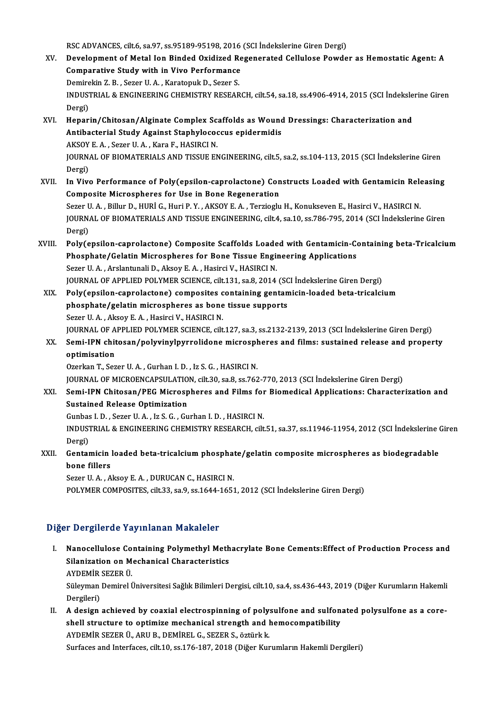RSC ADVANCES, cilt.6, sa.97, ss.95189-95198, 2016 (SCI İndekslerine Giren Dergi)<br>Develenment of Metal Jan Binded Quidired Bessenensted Cellulese Bevyde

- XV. Development of Metal Ion Binded Oxidized Regenerated Cellulose Powder as Hemostatic Agent: A<br>Comparative Study with in Vivo Performance RSC ADVANCES, cilt.6, sa.97, ss.95189-95198, 2016<br>Development of Metal Ion Binded Oxidized Re<br>Comparative Study with in Vivo Performance<br>Deminakin Z.B., Serer H.A., Kanatopuk D. Serer S. Development of Metal Ion Binded Oxidized R<br>Comparative Study with in Vivo Performance<br>Demirekin Z. B., Sezer U.A., Karatopuk D., Sezer S.<br>INDUSTRIAL & ENCINEERING GUEMISTRY RESEAR INDUSTRIAL & ENGINEERING CHEMISTRY RESEARCH, cilt.54, sa.18, ss.4906-4914, 2015 (SCI İndekslerine Giren<br>Dergi) Demire<br>INDUS<br>Dergi)<br>Henar INDUSTRIAL & ENGINEERING CHEMISTRY RESEARCH, cilt.54, sa.18, ss.4906-4914, 2015 (SCI Indeksle<br>Dergi)<br>XVI. Heparin/Chitosan/Alginate Complex Scaffolds as Wound Dressings: Characterization and<br>Antibacterial Study Against Sta
- Dergi)<br>Heparin/Chitosan/Alginate Complex Scaffolds as Wound<br>Antibacterial Study Against Staphylococcus epidermidis<br>AKSOV E.A., Seger U.A., Kara E. HASIPCLN Heparin/Chitosan/Alginate Complex Sc.<br>Antibacterial Study Against Staphylocod<br>AKSOY E. A. , Sezer U. A. , Kara F., HASIRCI N.<br>JOUPNAL OF PIOMATEPIALS AND TISSUE EN Antibacterial Study Against Staphylococcus epidermidis<br>AKSOY E. A. , Sezer U. A. , Kara F., HASIRCI N.<br>JOURNAL OF BIOMATERIALS AND TISSUE ENGINEERING, cilt.5, sa.2, ss.104-113, 2015 (SCI İndekslerine Giren<br>Dergi) AKSOY E. A., Sezer U. A., Kara F., HASIRCI N. JOURNAL OF BIOMATERIALS AND TISSUE ENGINEERING, cilt.5, sa.2, ss.104-113, 2015 (SCI İndekslerine Giren<br>Dergi)<br>XVII. In Vivo Performance of Poly(epsilon-caprolactone) Constructs Loaded with Gentamicin Releasing<br>Composite Mi
- Dergi)<br>In Vivo Performance of Poly(epsilon-caprolactone) Con<br>Composite Microspheres for Use in Bone Regeneration<br>Seger U.A., Pillur D. HURLC, Huri B.V., AKSOV E.A., Tergischy In Vivo Performance of Poly(epsilon-caprolactone) Constructs Loaded with Gentamicin Rele<br>Composite Microspheres for Use in Bone Regeneration<br>Sezer U. A. , Billur D., HURİ G., Huri P. Y. , AKSOY E. A. , Terzioglu H., Konuks Composite Microspheres for Use in Bone Regeneration<br>Sezer U. A. , Billur D., HURİ G., Huri P. Y. , AKSOY E. A. , Terzioglu H., Konukseven E., Hasirci V., HASIRCI N<br>JOURNAL OF BIOMATERIALS AND TISSUE ENGINEERING, cilt.4, sa Sezer U<br>JOURN<br>Dergi)<br>Poly(o
- JOURNAL OF BIOMATERIALS AND TISSUE ENGINEERING, cilt.4, sa.10, ss.786-795, 2014 (SCI İndekslerine Giren<br>Dergi)<br>XVIII. Poly(epsilon-caprolactone) Composite Scaffolds Loaded with Gentamicin-Containing beta-Tricalcium Dergi)<br>Poly(epsilon-caprolactone) Composite Scaffolds Loaded with Gentamicin-Condity<br>Phosphate/Gelatin Microspheres for Bone Tissue Engineering Applications<br>Seren U.A., Arelantunali D. Alrey E.A., Hesirgi V. HASIDCLN Poly(epsilon-caprolactone) Composite Scaffolds Loade<br>Phosphate/Gelatin Microspheres for Bone Tissue Engin<br>Sezer U. A., Arslantunali D., Aksoy E. A., Hasirci V., HASIRCI N.<br>JOUPMAL OF APPLIED POLYMER SCIENCE silt 121, ss 8, Phosphate/Gelatin Microspheres for Bone Tissue Engineering Applications<br>Sezer U. A. , Arslantunali D., Aksoy E. A. , Hasirci V., HASIRCI N.<br>JOURNAL OF APPLIED POLYMER SCIENCE, cilt.131, sa.8, 2014 (SCI İndekslerine Giren D Sezer U. A. , Arslantunali D., Aksoy E. A. , Hasirci V., HASIRCI N.<br>JOURNAL OF APPLIED POLYMER SCIENCE, cilt.131, sa.8, 2014 (SCI İndekslerine Giren Dergi)<br>XIX. Poly(epsilon-caprolactone) composites containing gentamicin-l
- JOURNAL OF APPLIED POLYMER SCIENCE, cilt.131, sa.8, 2014 (SC<br>Poly(epsilon-caprolactone) composites containing gentan<br>phosphate/gelatin microspheres as bone tissue supports<br>Sezer U.A., Algev E.A., Hesirci V. HASIPCLN Poly(epsilon-caprolactone) composites c<br>phosphate/gelatin microspheres as bone<br>Sezer U. A. , Aksoy E. A. , Hasirci V., HASIRCI N.<br>JOUPMAL OF APPLIED POLYMER SCIENCE silt phosphate/gelatin microspheres as bone tissue supports<br>Sezer U. A. , Aksoy E. A. , Hasirci V., HASIRCI N.<br>JOURNAL OF APPLIED POLYMER SCIENCE, cilt.127, sa.3, ss.2132-2139, 2013 (SCI İndekslerine Giren Dergi)<br>Semi IBN shite Sezer U. A. , Aksoy E. A. , Hasirci V., HASIRCI N.<br>JOURNAL OF APPLIED POLYMER SCIENCE, cilt.127, sa.3, ss.2132-2139, 2013 (SCI İndekslerine Giren Dergi)<br>XX. Semi-IPN chitosan/polyvinylpyrrolidone microspheres and films
- **JOURNAL OF A**<br>Semi-IPN chitoptimisation<br>Ororkon T. Ser Semi-IPN chitosan/polyvinylpyrrolidone microsph<br>optimisation<br>Ozerkan T., Sezer U.A. , Gurhan I.D. , Iz S. G. , HASIRCI N.<br>JOUPNAL OF MICROFNCARSULATION sitt 20, se 8, se 762 **optimisation**<br>Ozerkan T., Sezer U. A. , Gurhan I. D. , Iz S. G. , HASIRCI N.<br>JOURNAL OF MICROENCAPSULATION, cilt.30, sa.8, ss.762-770, 2013 (SCI İndekslerine Giren Dergi)

Ozerkan T., Sezer U. A. , Gurhan I. D. , Iz S. G. , HASIRCI N.<br>JOURNAL OF MICROENCAPSULATION, cilt.30, sa.8, ss.762-770, 2013 (SCI İndekslerine Giren Dergi)<br>XXI. Semi-IPN Chitosan/PEG Microspheres and Films for Biomedical JOURNAL OF MICROENCAPSULATIO<br>Semi-IPN Chitosan/PEG Microsp<br>Sustained Release Optimization Semi-IPN Chitosan/PEG Microspheres and Films for<br>Sustained Release Optimization<br>Gunbas I. D., Sezer U. A., Iz S. G., Gurhan I. D., HASIRCI N.<br>INDUSTRIAL & ENCINEERING GUEMISTRY RESEARCH silt

Sustained Release Optimization<br>Gunbas I. D. , Sezer U. A. , Iz S. G. , Gurhan I. D. , HASIRCI N.<br>INDUSTRIAL & ENGINEERING CHEMISTRY RESEARCH, cilt.51, sa.37, ss.11946-11954, 2012 (SCI İndekslerine Giren Gunbas<br>INDUS<br>Dergi)<br>Center INDUSTRIAL & ENGINEERING CHEMISTRY RESEARCH, cilt.51, sa.37, ss.11946-11954, 2012 (SCI İndekslerine (<br>Dergi)<br>XXII. Gentamicin loaded beta-tricalcium phosphate/gelatin composite microspheres as biodegradable<br>hane fillere

Dergi)<br>Gentamicin<br>bone fillers<br>Segen U.A. A Gentamicin loaded beta-tricalcium phosphat<br>bone fillers<br>Sezer U. A. , Aksoy E. A. , DURUCAN C., HASIRCI N.<br>POLYMER COMPOSITES, sit 22, sa 0, sa 1644, 1653 bone fillers<br>Sezer U. A. , Aksoy E. A. , DURUCAN C., HASIRCI N.<br>POLYMER COMPOSITES, cilt.33, sa.9, ss.1644-1651, 2012 (SCI İndekslerine Giren Dergi)

## Diğer Dergilerde Yayınlanan Makaleler

Iger Dergilerde Yayınlanan Makaleler<br>I. Nanocellulose Containing Polymethyl Methacrylate Bone Cements:Effect of Production Process and<br>Silanization on Machanical Chanasteristics Silanization on Mechanical Characteristics<br>Silanization on Mechanical Characteristics<br>AVDEMID SEZED (I) **Nanocellulose Co<br>Silanization on M<br>AYDEMİR SEZER Ü.**<br>Süleyman Demirel İ Silanization on Mechanical Characteristics<br>AYDEMİR SEZER Ü.<br>Süleyman Demirel Üniversitesi Sağlık Bilimleri Dergisi, cilt.10, sa.4, ss.436-443, 2019 (Diğer Kurumların Hakemli

AYDEMİR<br>Süleyman<br>Dergileri)<br>A design Süleyman Demirel Üniversitesi Sağlık Bilimleri Dergisi, cilt.10, sa.4, ss.436-443, 2019 (Diğer Kurumların Hakemli<br>Dergileri)<br>II. A design achieved by coaxial electrospinning of polysulfone and sulfonated polysulfone as a c

Dergileri)<br>II. A design achieved by coaxial electrospinning of polysulfone and sulfonated polysulfone as a core-<br>shell structure to optimize mechanical strength and hemocompatibility AYDEMİRSEZERÜ.,ARUB.,DEMİRELG.,SEZERS.,öztürkk. Surfaces and Interfaces, cilt.10, ss.176-187, 2018 (Diğer Kurumların Hakemli Dergileri)